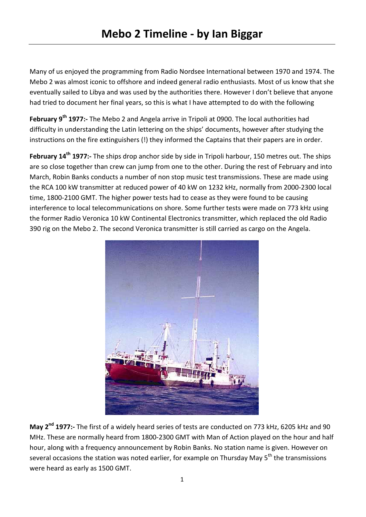Many of us enjoyed the programming from Radio Nordsee International between 1970 and 1974. The Mebo 2 was almost iconic to offshore and indeed general radio enthusiasts. Most of us know that she eventually sailed to Libya and was used by the authorities there. However I don't believe that anyone had tried to document her final years, so this is what I have attempted to do with the following

**February 9th 1977:-** The Mebo 2 and Angela arrive in Tripoli at 0900. The local authorities had difficulty in understanding the Latin lettering on the ships' documents, however after studying the instructions on the fire extinguishers (!) they informed the Captains that their papers are in order.

**February 14th 1977:-** The ships drop anchor side by side in Tripoli harbour, 150 metres out. The ships are so close together than crew can jump from one to the other. During the rest of February and into March, Robin Banks conducts a number of non stop music test transmissions. These are made using the RCA 100 kW transmitter at reduced power of 40 kW on 1232 kHz, normally from 2000-2300 local time, 1800-2100 GMT. The higher power tests had to cease as they were found to be causing interference to local telecommunications on shore. Some further tests were made on 773 kHz using the former Radio Veronica 10 kW Continental Electronics transmitter, which replaced the old Radio 390 rig on the Mebo 2. The second Veronica transmitter is still carried as cargo on the Angela.



**May 2nd 1977:-** The first of a widely heard series of tests are conducted on 773 kHz, 6205 kHz and 90 MHz. These are normally heard from 1800-2300 GMT with Man of Action played on the hour and half hour, along with a frequency announcement by Robin Banks. No station name is given. However on several occasions the station was noted earlier, for example on Thursday May 5<sup>th</sup> the transmissions were heard as early as 1500 GMT.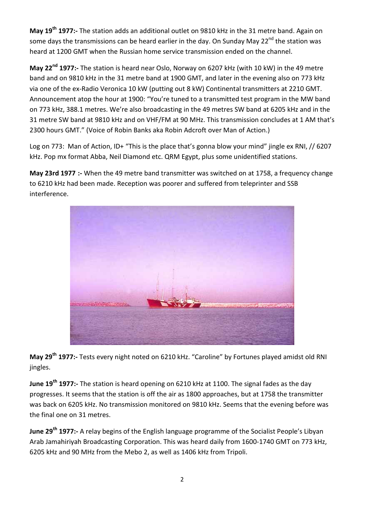**May 19th 1977:-** The station adds an additional outlet on 9810 kHz in the 31 metre band. Again on some days the transmissions can be heard earlier in the day. On Sunday May  $22^{nd}$  the station was heard at 1200 GMT when the Russian home service transmission ended on the channel.

**May 22nd 1977:-** The station is heard near Oslo, Norway on 6207 kHz (with 10 kW) in the 49 metre band and on 9810 kHz in the 31 metre band at 1900 GMT, and later in the evening also on 773 kHz via one of the ex-Radio Veronica 10 kW (putting out 8 kW) Continental transmitters at 2210 GMT. Announcement atop the hour at 1900: "You're tuned to a transmitted test program in the MW band on 773 kHz, 388.1 metres. We're also broadcasting in the 49 metres SW band at 6205 kHz and in the 31 metre SW band at 9810 kHz and on VHF/FM at 90 MHz. This transmission concludes at 1 AM that's 2300 hours GMT." (Voice of Robin Banks aka Robin Adcroft over Man of Action.)

Log on 773: Man of Action, ID+ "This is the place that's gonna blow your mind" jingle ex RNI, // 6207 kHz. Pop mx format Abba, Neil Diamond etc. QRM Egypt, plus some unidentified stations.

**May 23rd 1977 :-** When the 49 metre band transmitter was switched on at 1758, a frequency change to 6210 kHz had been made. Reception was poorer and suffered from teleprinter and SSB interference.



**May 29th 1977:-** Tests every night noted on 6210 kHz. "Caroline" by Fortunes played amidst old RNI jingles.

**June 19th 1977:-** The station is heard opening on 6210 kHz at 1100. The signal fades as the day progresses. It seems that the station is off the air as 1800 approaches, but at 1758 the transmitter was back on 6205 kHz. No transmission monitored on 9810 kHz. Seems that the evening before was the final one on 31 metres.

**June 29th 1977:-** A relay begins of the English language programme of the Socialist People's Libyan Arab Jamahiriyah Broadcasting Corporation. This was heard daily from 1600-1740 GMT on 773 kHz, 6205 kHz and 90 MHz from the Mebo 2, as well as 1406 kHz from Tripoli.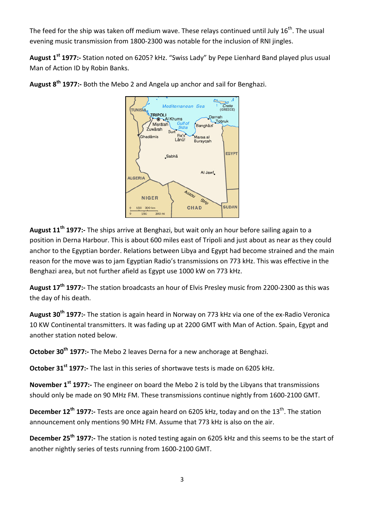The feed for the ship was taken off medium wave. These relays continued until July  $16^{th}$ . The usual evening music transmission from 1800-2300 was notable for the inclusion of RNI jingles.

**August 1st 1977:-** Station noted on 6205? kHz. "Swiss Lady" by Pepe Lienhard Band played plus usual Man of Action ID by Robin Banks.



**August 8th 1977:-** Both the Mebo 2 and Angela up anchor and sail for Benghazi.

**August 11th 1977:-** The ships arrive at Benghazi, but wait only an hour before sailing again to a position in Derna Harbour. This is about 600 miles east of Tripoli and just about as near as they could anchor to the Egyptian border. Relations between Libya and Egypt had become strained and the main reason for the move was to jam Egyptian Radio's transmissions on 773 kHz. This was effective in the Benghazi area, but not further afield as Egypt use 1000 kW on 773 kHz.

**August 17th 1977:-** The station broadcasts an hour of Elvis Presley music from 2200-2300 as this was the day of his death.

**August 30th 1977:-** The station is again heard in Norway on 773 kHz via one of the ex-Radio Veronica 10 KW Continental transmitters. It was fading up at 2200 GMT with Man of Action. Spain, Egypt and another station noted below.

**October 30th 1977:-** The Mebo 2 leaves Derna for a new anchorage at Benghazi.

**October 31st 1977:-** The last in this series of shortwave tests is made on 6205 kHz.

**November 1st 1977:-** The engineer on board the Mebo 2 is told by the Libyans that transmissions should only be made on 90 MHz FM. These transmissions continue nightly from 1600-2100 GMT.

**December 12<sup>th</sup> 1977:-** Tests are once again heard on 6205 kHz, today and on the 13<sup>th</sup>. The station announcement only mentions 90 MHz FM. Assume that 773 kHz is also on the air.

**December 25th 1977:-** The station is noted testing again on 6205 kHz and this seems to be the start of another nightly series of tests running from 1600-2100 GMT.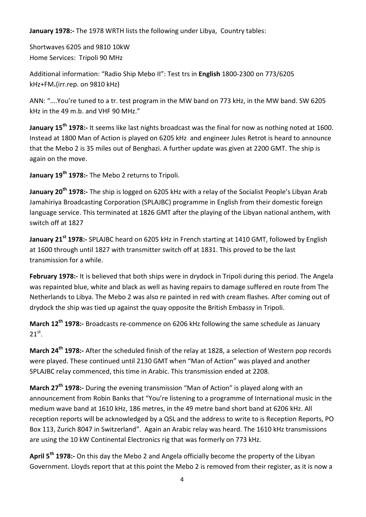**January 1978:-** The 1978 WRTH lists the following under Libya,Country tables:

Shortwaves 6205 and 9810 10kW Home Services: Tripoli 90 MHz

Additional information: "Radio Ship Mebo II": Test trs in **English** 1800-2300 on 773/6205 kHz+FM**.**(irr.rep. on 9810 kHz)

ANN: "….You're tuned to a tr. test program in the MW band on 773 kHz, in the MW band. SW 6205 kHz in the 49 m.b. and VHF 90 MHz."

**January 15th 1978:-** It seems like last nights broadcast was the final for now as nothing noted at 1600. Instead at 1800 Man of Action is played on 6205 kHz and engineer Jules Retrot is heard to announce that the Mebo 2 is 35 miles out of Benghazi. A further update was given at 2200 GMT. The ship is again on the move.

**January 19th 1978:-** The Mebo 2 returns to Tripoli.

**January 20th 1978:-** The ship is logged on 6205 kHz with a relay of the Socialist People's Libyan Arab Jamahiriya Broadcasting Corporation (SPLAJBC) programme in English from their domestic foreign language service. This terminated at 1826 GMT after the playing of the Libyan national anthem, with switch off at 1827

**January 21st 1978:-** SPLAJBC heard on 6205 kHz in French starting at 1410 GMT, followed by English at 1600 through until 1827 with transmitter switch off at 1831. This proved to be the last transmission for a while.

**February 1978:-** It is believed that both ships were in drydock in Tripoli during this period. The Angela was repainted blue, white and black as well as having repairs to damage suffered en route from The Netherlands to Libya. The Mebo 2 was also re painted in red with cream flashes. After coming out of drydock the ship was tied up against the quay opposite the British Embassy in Tripoli.

**March 12th 1978:-** Broadcasts re-commence on 6206 kHz following the same schedule as January  $21^\text{st}$ .

**March 24th 1978:-** After the scheduled finish of the relay at 1828, a selection of Western pop records were played. These continued until 2130 GMT when "Man of Action" was played and another SPLAJBC relay commenced, this time in Arabic. This transmission ended at 2208.

**March 27th 1978:-** During the evening transmission "Man of Action" is played along with an announcement from Robin Banks that "You're listening to a programme of International music in the medium wave band at 1610 kHz, 186 metres, in the 49 metre band short band at 6206 kHz. All reception reports will be acknowledged by a QSL and the address to write to is Reception Reports, PO Box 113, Zurich 8047 in Switzerland". Again an Arabic relay was heard. The 1610 kHz transmissions are using the 10 kW Continental Electronics rig that was formerly on 773 kHz.

**April 5th 1978:-** On this day the Mebo 2 and Angela officially become the property of the Libyan Government. Lloyds report that at this point the Mebo 2 is removed from their register, as it is now a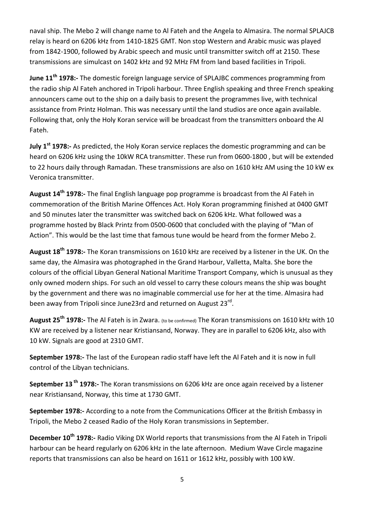naval ship. The Mebo 2 will change name to Al Fateh and the Angela to Almasira. The normal SPLAJCB relay is heard on 6206 kHz from 1410-1825 GMT. Non stop Western and Arabic music was played from 1842-1900, followed by Arabic speech and music until transmitter switch off at 2150. These transmissions are simulcast on 1402 kHz and 92 MHz FM from land based facilities in Tripoli.

**June 11th 1978:-** The domestic foreign language service of SPLAJBC commences programming from the radio ship Al Fateh anchored in Tripoli harbour. Three English speaking and three French speaking announcers came out to the ship on a daily basis to present the programmes live, with technical assistance from Printz Holman. This was necessary until the land studios are once again available. Following that, only the Holy Koran service will be broadcast from the transmitters onboard the Al Fateh.

**July 1st 1978:-** As predicted, the Holy Koran service replaces the domestic programming and can be heard on 6206 kHz using the 10kW RCA transmitter. These run from 0600-1800 , but will be extended to 22 hours daily through Ramadan. These transmissions are also on 1610 kHz AM using the 10 kW ex Veronica transmitter.

**August 14th 1978:-** The final English language pop programme is broadcast from the Al Fateh in commemoration of the British Marine Offences Act. Holy Koran programming finished at 0400 GMT and 50 minutes later the transmitter was switched back on 6206 kHz. What followed was a programme hosted by Black Printz from 0500-0600 that concluded with the playing of "Man of Action". This would be the last time that famous tune would be heard from the former Mebo 2.

**August 18th 1978:-** The Koran transmissions on 1610 kHz are received by a listener in the UK. On the same day, the Almasira was photographed in the Grand Harbour, Valletta, Malta. She bore the colours of the official Libyan General National Maritime Transport Company, which is unusual as they only owned modern ships. For such an old vessel to carry these colours means the ship was bought by the government and there was no imaginable commercial use for her at the time. Almasira had been away from Tripoli since June23rd and returned on August 23<sup>rd</sup>.

**August 25th 1978:-** The Al Fateh is in Zwara. (to be confirmed) The Koran transmissions on 1610 kHz with 10 KW are received by a listener near Kristiansand, Norway. They are in parallel to 6206 kHz, also with 10 kW. Signals are good at 2310 GMT.

**September 1978:-** The last of the European radio staff have left the Al Fateh and it is now in full control of the Libyan technicians.

**September 13 th 1978:-** The Koran transmissions on 6206 kHz are once again received by a listener near Kristiansand, Norway, this time at 1730 GMT.

**September 1978:-** According to a note from the Communications Officer at the British Embassy in Tripoli, the Mebo 2 ceased Radio of the Holy Koran transmissions in September.

**December 10th 1978:-** Radio Viking DX World reports that transmissions from the Al Fateh in Tripoli harbour can be heard regularly on 6206 kHz in the late afternoon. Medium Wave Circle magazine reports that transmissions can also be heard on 1611 or 1612 kHz, possibly with 100 kW.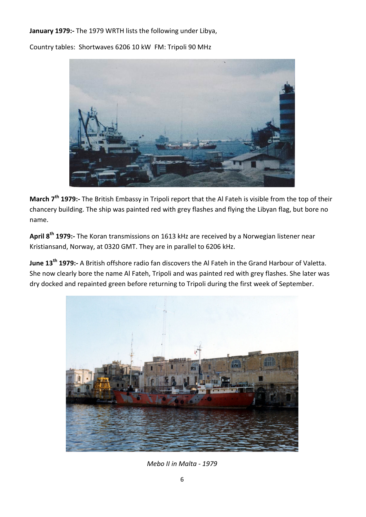**January 1979:-** The 1979 WRTH lists the following under Libya,

Country tables: Shortwaves 6206 10 kW FM: Tripoli 90 MHz



**March 7th 1979:-** The British Embassy in Tripoli report that the Al Fateh is visible from the top of their chancery building. The ship was painted red with grey flashes and flying the Libyan flag, but bore no name.

**April 8th 1979:-** The Koran transmissions on 1613 kHz are received by a Norwegian listener near Kristiansand, Norway, at 0320 GMT. They are in parallel to 6206 kHz.

**June 13th 1979:-** A British offshore radio fan discovers the Al Fateh in the Grand Harbour of Valetta. She now clearly bore the name Al Fateh, Tripoli and was painted red with grey flashes. She later was dry docked and repainted green before returning to Tripoli during the first week of September.



*Mebo II in Malta - 1979*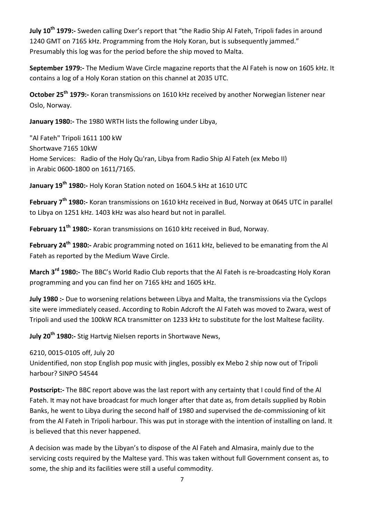**July 10th 1979:-** Sweden calling Dxer's report that "the Radio Ship Al Fateh, Tripoli fades in around 1240 GMT on 7165 kHz. Programming from the Holy Koran, but is subsequently jammed." Presumably this log was for the period before the ship moved to Malta.

**September 1979:-** The Medium Wave Circle magazine reports that the Al Fateh is now on 1605 kHz. It contains a log of a Holy Koran station on this channel at 2035 UTC.

**October 25th 1979:-** Koran transmissions on 1610 kHz received by another Norwegian listener near Oslo, Norway.

**January 1980:-** The 1980 WRTH lists the following under Libya,

"Al Fateh" Tripoli 1611 100 kW Shortwave 7165 10kW Home Services: Radio of the Holy Qu'ran, Libya from Radio Ship Al Fateh (ex Mebo II) in Arabic 0600-1800 on 1611/7165.

**January 19th 1980:-** Holy Koran Station noted on 1604.5 kHz at 1610 UTC

**February 7th 1980:-** Koran transmissions on 1610 kHz received in Bud, Norway at 0645 UTC in parallel to Libya on 1251 kHz. 1403 kHz was also heard but not in parallel.

**February 11th 1980:-** Koran transmissions on 1610 kHz received in Bud, Norway.

**February 24th 1980:-** Arabic programming noted on 1611 kHz, believed to be emanating from the Al Fateh as reported by the Medium Wave Circle.

**March 3rd 1980:-** The BBC's World Radio Club reports that the Al Fateh is re-broadcasting Holy Koran programming and you can find her on 7165 kHz and 1605 kHz.

**July 1980 :-** Due to worsening relations between Libya and Malta, the transmissions via the Cyclops site were immediately ceased. According to Robin Adcroft the Al Fateh was moved to Zwara, west of Tripoli and used the 100kW RCA transmitter on 1233 kHz to substitute for the lost Maltese facility.

**July 20th 1980:-** Stig Hartvig Nielsen reports in Shortwave News,

6210, 0015-0105 off, July 20

Unidentified, non stop English pop music with jingles, possibly ex Mebo 2 ship now out of Tripoli harbour? SINPO 54544

**Postscript:-** The BBC report above was the last report with any certainty that I could find of the Al Fateh. It may not have broadcast for much longer after that date as, from details supplied by Robin Banks, he went to Libya during the second half of 1980 and supervised the de-commissioning of kit from the Al Fateh in Tripoli harbour. This was put in storage with the intention of installing on land. It is believed that this never happened.

A decision was made by the Libyan's to dispose of the Al Fateh and Almasira, mainly due to the servicing costs required by the Maltese yard. This was taken without full Government consent as, to some, the ship and its facilities were still a useful commodity.